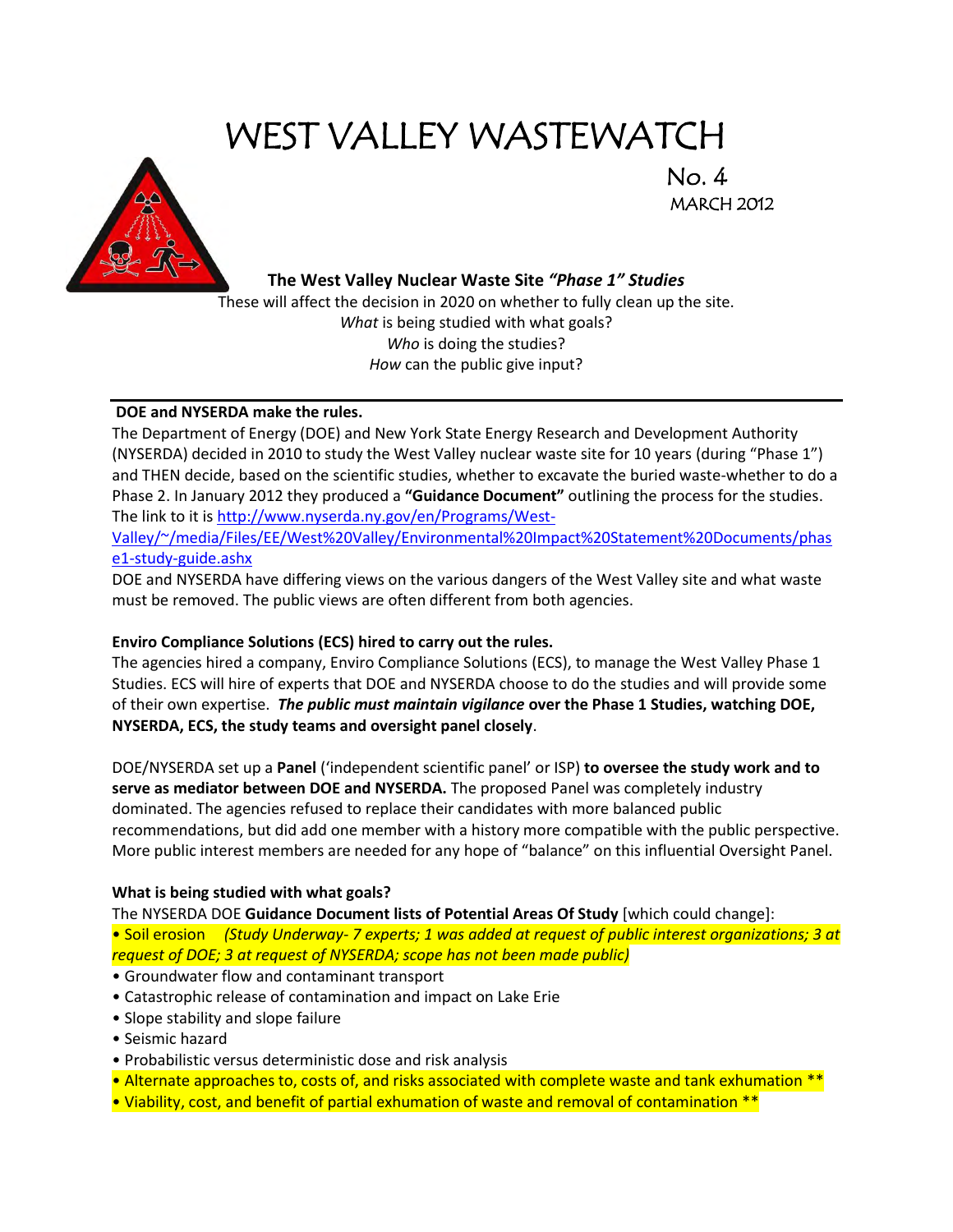# WEST VALLEY WASTEWATCH



MARCH 2012

### **The West Valley Nuclear Waste Site** *"Phase 1" Studies*

These will affect the decision in 2020 on whether to fully clean up the site. *What* is being studied with what goals? *Who* is doing the studies? *How* can the public give input?

### **DOE and NYSERDA make the rules.**

The Department of Energy (DOE) and New York State Energy Research and Development Authority (NYSERDA) decided in 2010 to study the West Valley nuclear waste site for 10 years (during "Phase 1") and THEN decide, based on the scientific studies, whether to excavate the buried waste-whether to do a Phase 2. In January 2012 they produced a **"Guidance Document"** outlining the process for the studies. The link to it i[s http://www.nyserda.ny.gov/en/Programs/West-](http://www.nyserda.ny.gov/en/Programs/West-Valley/~/media/Files/EE/West%20Valley/Environmental%20Impact%20Statement%20Documents/phase1-study-guide.ashx)

[Valley/~/media/Files/EE/West%20Valley/Environmental%20Impact%20Statement%20Documents/phas](http://www.nyserda.ny.gov/en/Programs/West-Valley/~/media/Files/EE/West%20Valley/Environmental%20Impact%20Statement%20Documents/phase1-study-guide.ashx) [e1-study-guide.ashx](http://www.nyserda.ny.gov/en/Programs/West-Valley/~/media/Files/EE/West%20Valley/Environmental%20Impact%20Statement%20Documents/phase1-study-guide.ashx)

DOE and NYSERDA have differing views on the various dangers of the West Valley site and what waste must be removed. The public views are often different from both agencies.

### **Enviro Compliance Solutions (ECS) hired to carry out the rules.**

The agencies hired a company, Enviro Compliance Solutions (ECS), to manage the West Valley Phase 1 Studies. ECS will hire of experts that DOE and NYSERDA choose to do the studies and will provide some of their own expertise. *The public must maintain vigilance* **over the Phase 1 Studies, watching DOE, NYSERDA, ECS, the study teams and oversight panel closely**.

DOE/NYSERDA set up a **Panel** ('independent scientific panel' or ISP) **to oversee the study work and to serve as mediator between DOE and NYSERDA.** The proposed Panel was completely industry dominated. The agencies refused to replace their candidates with more balanced public recommendations, but did add one member with a history more compatible with the public perspective. More public interest members are needed for any hope of "balance" on this influential Oversight Panel.

#### **What is being studied with what goals?**

The NYSERDA DOE **Guidance Document lists of Potential Areas Of Study** [which could change]:

• Soil erosion *(Study Underway- 7 experts; 1 was added at request of public interest organizations; 3 at request of DOE; 3 at request of NYSERDA; scope has not been made public)*

- Groundwater flow and contaminant transport
- Catastrophic release of contamination and impact on Lake Erie
- Slope stability and slope failure
- Seismic hazard
- Probabilistic versus deterministic dose and risk analysis
- Alternate approaches to, costs of, and risks associated with complete waste and tank exhumation \*\*
- Viability, cost, and benefit of partial exhumation of waste and removal of contamination \*\*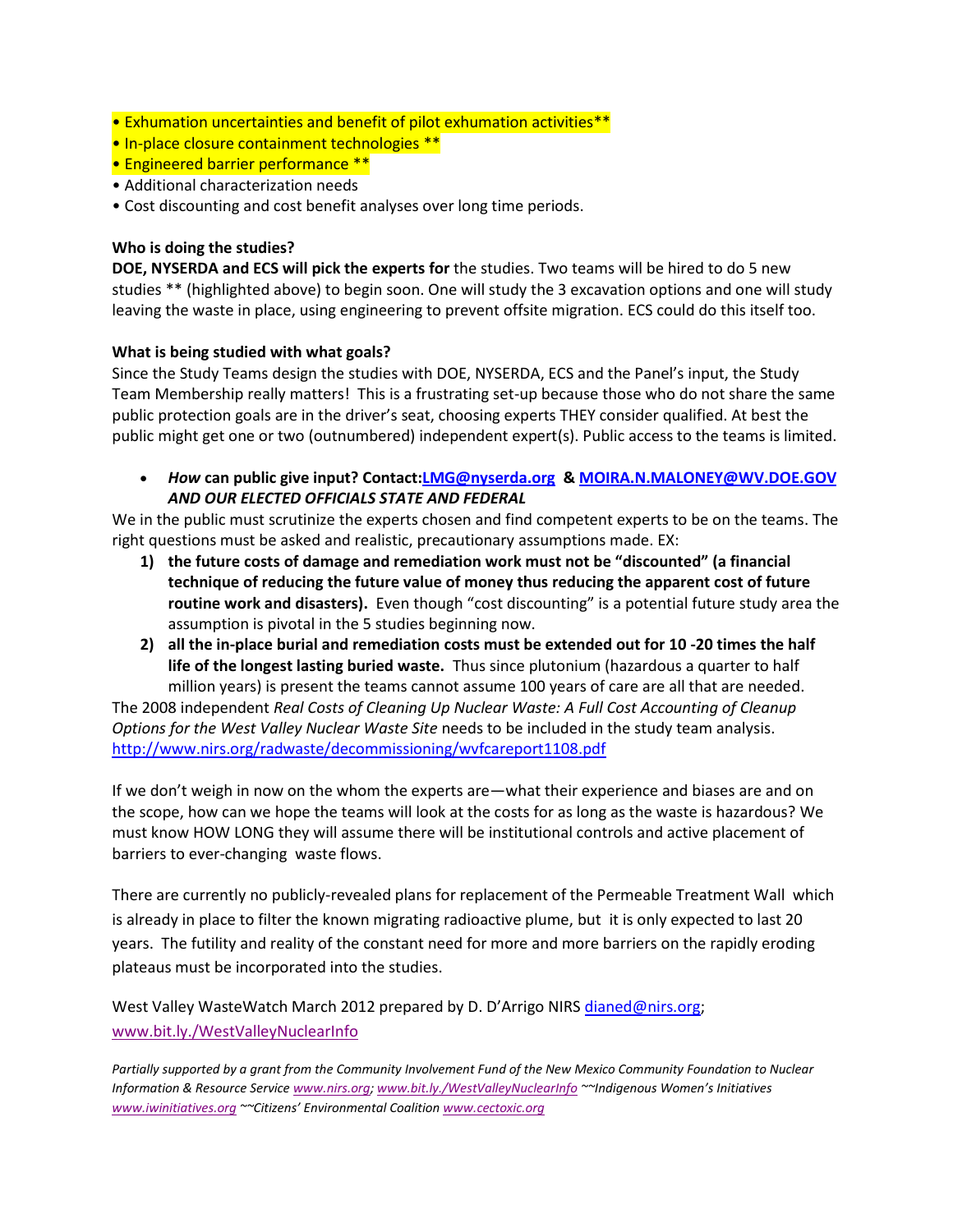- Exhumation uncertainties and benefit of pilot exhumation activities\*\*
- In-place closure containment technologies \*\*
- Engineered barrier performance \*\*
- Additional characterization needs
- Cost discounting and cost benefit analyses over long time periods.

### **Who is doing the studies?**

**DOE, NYSERDA and ECS will pick the experts for** the studies. Two teams will be hired to do 5 new studies \*\* (highlighted above) to begin soon. One will study the 3 excavation options and one will study leaving the waste in place, using engineering to prevent offsite migration. ECS could do this itself too.

### **What is being studied with what goals?**

Since the Study Teams design the studies with DOE, NYSERDA, ECS and the Panel's input, the Study Team Membership really matters! This is a frustrating set-up because those who do not share the same public protection goals are in the driver's seat, choosing experts THEY consider qualified. At best the public might get one or two (outnumbered) independent expert(s). Public access to the teams is limited.

 *How* **can public give input? Contact[:LMG@nyserda.org](mailto:LMG@nyserda.org) & [MOIRA.N.MALONEY@WV.DOE.GOV](mailto:MOIRA.N.MALONEY@WV.DOE.GOV)** *AND OUR ELECTED OFFICIALS STATE AND FEDERAL*

We in the public must scrutinize the experts chosen and find competent experts to be on the teams. The right questions must be asked and realistic, precautionary assumptions made. EX:

- **1) the future costs of damage and remediation work must not be "discounted" (a financial technique of reducing the future value of money thus reducing the apparent cost of future routine work and disasters).** Even though "cost discounting" is a potential future study area the assumption is pivotal in the 5 studies beginning now.
- **2) all the in-place burial and remediation costs must be extended out for 10 -20 times the half life of the longest lasting buried waste.** Thus since plutonium (hazardous a quarter to half million years) is present the teams cannot assume 100 years of care are all that are needed.

The 2008 independent *Real Costs of Cleaning Up Nuclear Waste: A Full Cost Accounting of Cleanup Options for the West Valley Nuclear Waste Site* needs to be included in the study team analysis. <http://www.nirs.org/radwaste/decommissioning/wvfcareport1108.pdf>

If we don't weigh in now on the whom the experts are—what their experience and biases are and on the scope, how can we hope the teams will look at the costs for as long as the waste is hazardous? We must know HOW LONG they will assume there will be institutional controls and active placement of barriers to ever-changing waste flows.

There are currently no publicly-revealed plans for replacement of the Permeable Treatment Wall which is already in place to filter the known migrating radioactive plume, but it is only expected to last 20 years. The futility and reality of the constant need for more and more barriers on the rapidly eroding plateaus must be incorporated into the studies.

West Valley WasteWatch March 2012 prepared by D. D'Arrigo NIRS [dianed@nirs.org;](mailto:dianed@nirs.org) [www.bit.ly./WestValleyNuclearInfo](http://www.bit.ly./WestValleyNuclearInfo) 

*Partially supported by a grant from the Community Involvement Fund of the New Mexico Community Foundation to Nuclear Information & Resource Servic[e www.nirs.org;](http://www.nirs.org/) [www.bit.ly./WestValleyNuclearInfo](http://www.bit.ly./WestValleyNuclearInfo) ~~Indigenous Women's Initiatives [www.iwinitiatives.org](http://www.iwinitiatives.org/) ~~Citizens' Environmental Coalition [www.cectoxic.org](http://www.cectoxic.org/)*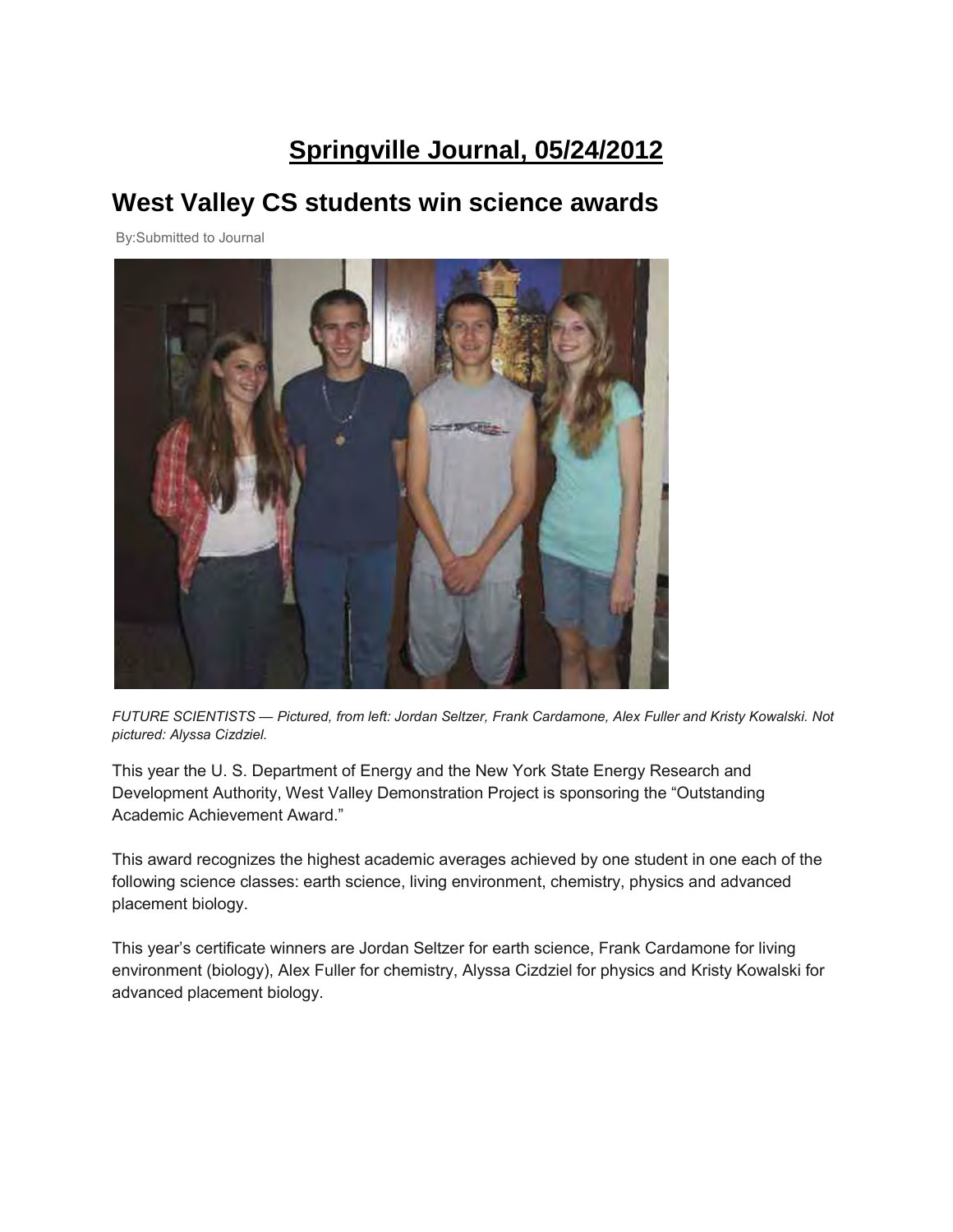## **Springville Journal, 05/24/2012**

### **West Valley CS students win science awards**

By:Submitted to Journal



*FUTURE SCIENTISTS — Pictured, from left: Jordan Seltzer, Frank Cardamone, Alex Fuller and Kristy Kowalski. Not pictured: Alyssa Cizdziel.*

This year the U. S. Department of Energy and the New York State Energy Research and Development Authority, West Valley Demonstration Project is sponsoring the "Outstanding Academic Achievement Award."

This award recognizes the highest academic averages achieved by one student in one each of the following science classes: earth science, living environment, chemistry, physics and advanced placement biology.

This year's certificate winners are Jordan Seltzer for earth science, Frank Cardamone for living environment (biology), Alex Fuller for chemistry, Alyssa Cizdziel for physics and Kristy Kowalski for advanced placement biology.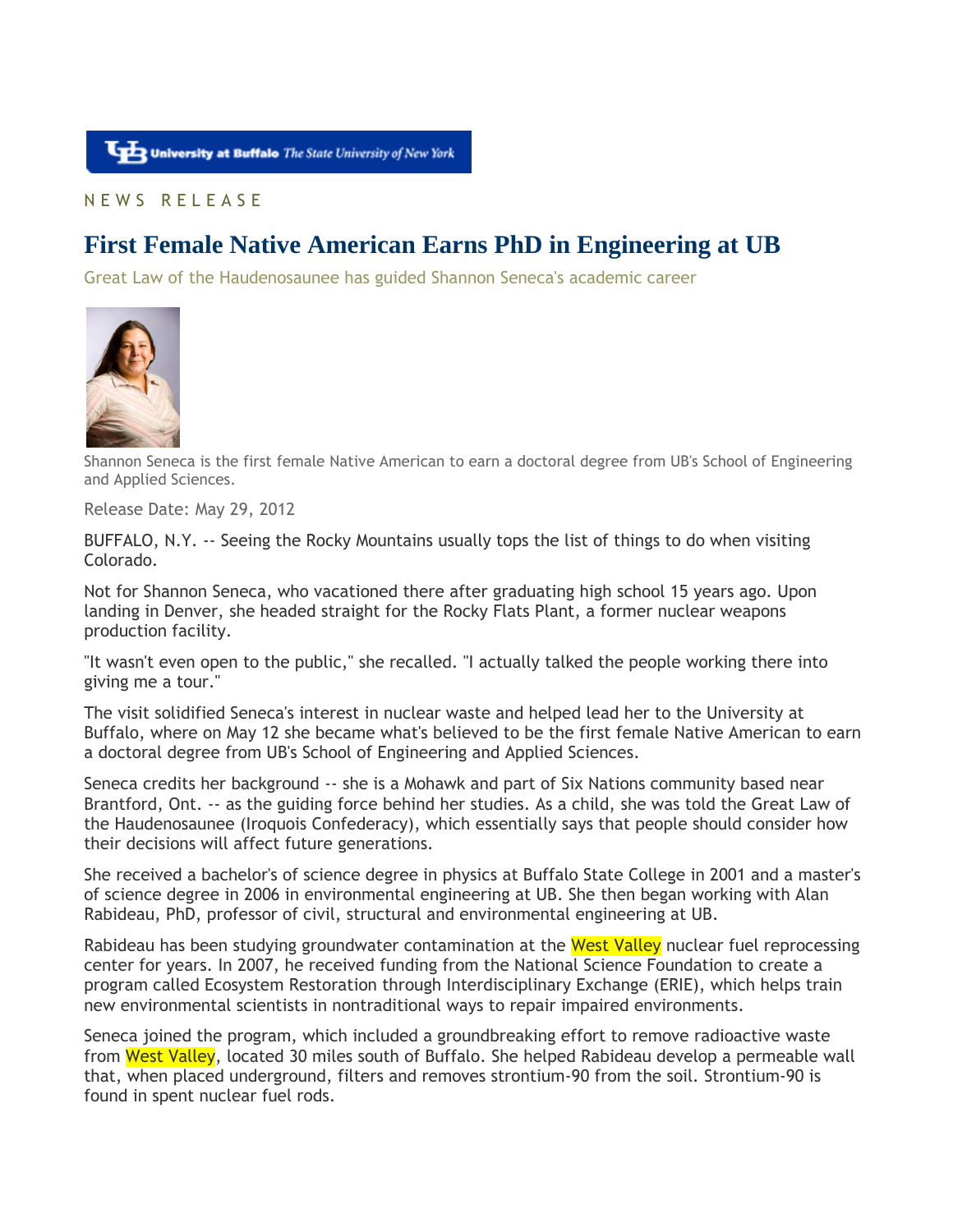### N E W S R E L E A S E

### **First Female Native American Earns PhD in Engineering at UB**

Great Law of the Haudenosaunee has guided Shannon Seneca's academic career



Shannon Seneca is the first female Native American to earn a doctoral degree from UB's School of Engineering and Applied Sciences.

Release Date: May 29, 2012

BUFFALO, N.Y. -- Seeing the Rocky Mountains usually tops the list of things to do when visiting Colorado.

Not for Shannon Seneca, who vacationed there after graduating high school 15 years ago. Upon landing in Denver, she headed straight for the Rocky Flats Plant, a former nuclear weapons production facility.

"It wasn't even open to the public," she recalled. "I actually talked the people working there into giving me a tour."

The visit solidified Seneca's interest in nuclear waste and helped lead her to the University at Buffalo, where on May 12 she became what's believed to be the first female Native American to earn a doctoral degree from UB's School of Engineering and Applied Sciences.

Seneca credits her background -- she is a Mohawk and part of Six Nations community based near Brantford, Ont. -- as the guiding force behind her studies. As a child, she was told the Great Law of the Haudenosaunee (Iroquois Confederacy), which essentially says that people should consider how their decisions will affect future generations.

She received a bachelor's of science degree in physics at Buffalo State College in 2001 and a master's of science degree in 2006 in environmental engineering at UB. She then began working with Alan Rabideau, PhD, professor of civil, structural and environmental engineering at UB.

Rabideau has been studying groundwater contamination at the West Valley nuclear fuel reprocessing center for years. In 2007, he received funding from the National Science Foundation to create a program called Ecosystem Restoration through Interdisciplinary Exchange (ERIE), which helps train new environmental scientists in nontraditional ways to repair impaired environments.

Seneca joined the program, which included a groundbreaking effort to remove radioactive waste from West Valley, located 30 miles south of Buffalo. She helped Rabideau develop a permeable wall that, when placed underground, filters and removes strontium-90 from the soil. Strontium-90 is found in spent nuclear fuel rods.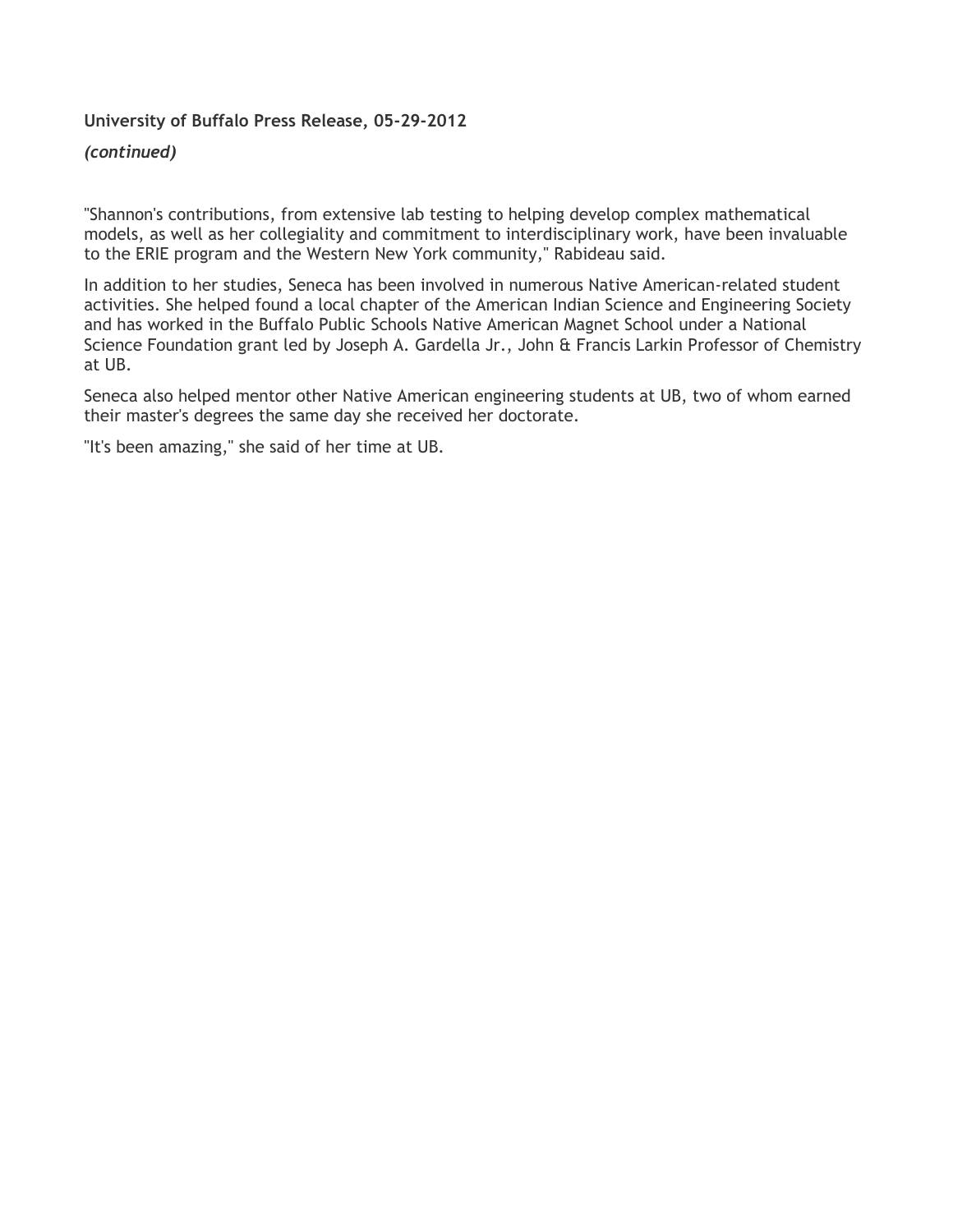### **University of Buffalo Press Release, 05-29-2012**

### *(continued)*

"Shannon's contributions, from extensive lab testing to helping develop complex mathematical models, as well as her collegiality and commitment to interdisciplinary work, have been invaluable to the ERIE program and the Western New York community," Rabideau said.

In addition to her studies, Seneca has been involved in numerous Native American-related student activities. She helped found a local chapter of the American Indian Science and Engineering Society and has worked in the Buffalo Public Schools Native American Magnet School under a National Science Foundation grant led by Joseph A. Gardella Jr., John & Francis Larkin Professor of Chemistry at UB.

Seneca also helped mentor other Native American engineering students at UB, two of whom earned their master's degrees the same day she received her doctorate.

"It's been amazing," she said of her time at UB.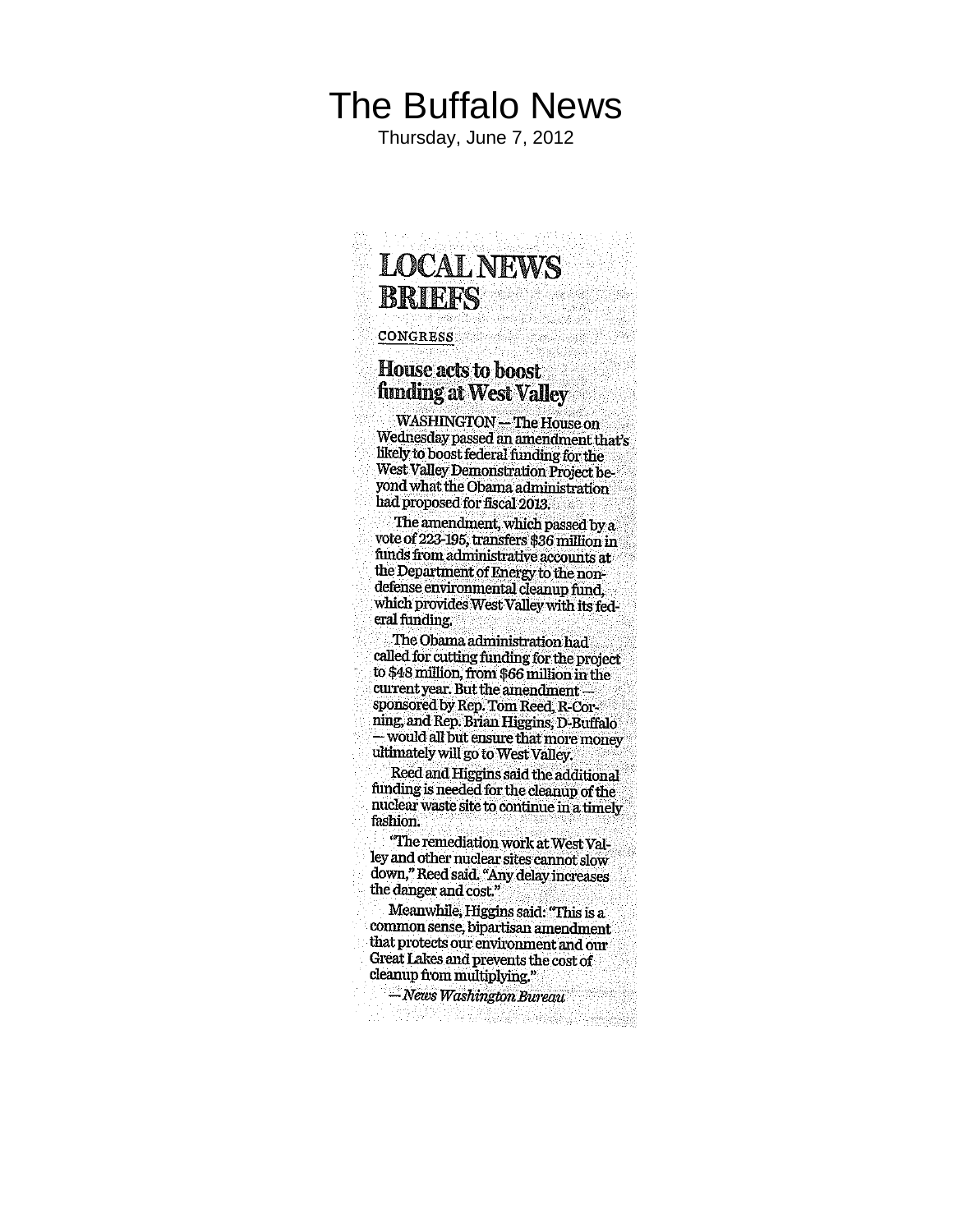# The Buffalo News

Thursday, June 7, 2012

## **LOCAL NEWS BRIEFS**

#### **CONGRESS**

### **House acts to boost** funding at West Valley

WASHINGTON - The House on Wednesday passed an amendment that's likely to boost federal funding for the West Valley Demonstration Project beyond what the Obama administration had proposed for fiscal 2013.

The amendment, which passed by  $a$ vote of 223-195, transfers \$36 million in funds from administrative accounts at the Department of Energy to the nondefense environmental cleanup fund. which provides West Valley with its federal funding.

The Obama administration had called for cutting funding for the project to \$48 million, from \$66 million in the current year. But the amendment sponsored by Rep. Tom Reed, R-Corning, and Rep. Brian Higgins, D-Buffalo - would all but ensure that more money ultimately will go to West Valley.

Reed and Higgins said the additional funding is needed for the cleanup of the nuclear waste site to continue in a timely fashion.

"The remediation work at West Valley and other nuclear sites cannot slow down," Reed said. "Any delay increases the danger and cost."

Meanwhile, Higgins said: "This is a common sense, bipartisan amendment that protects our environment and our Great Lakes and prevents the cost of cleanup from multiplying."

 $-$  News Washington Bureau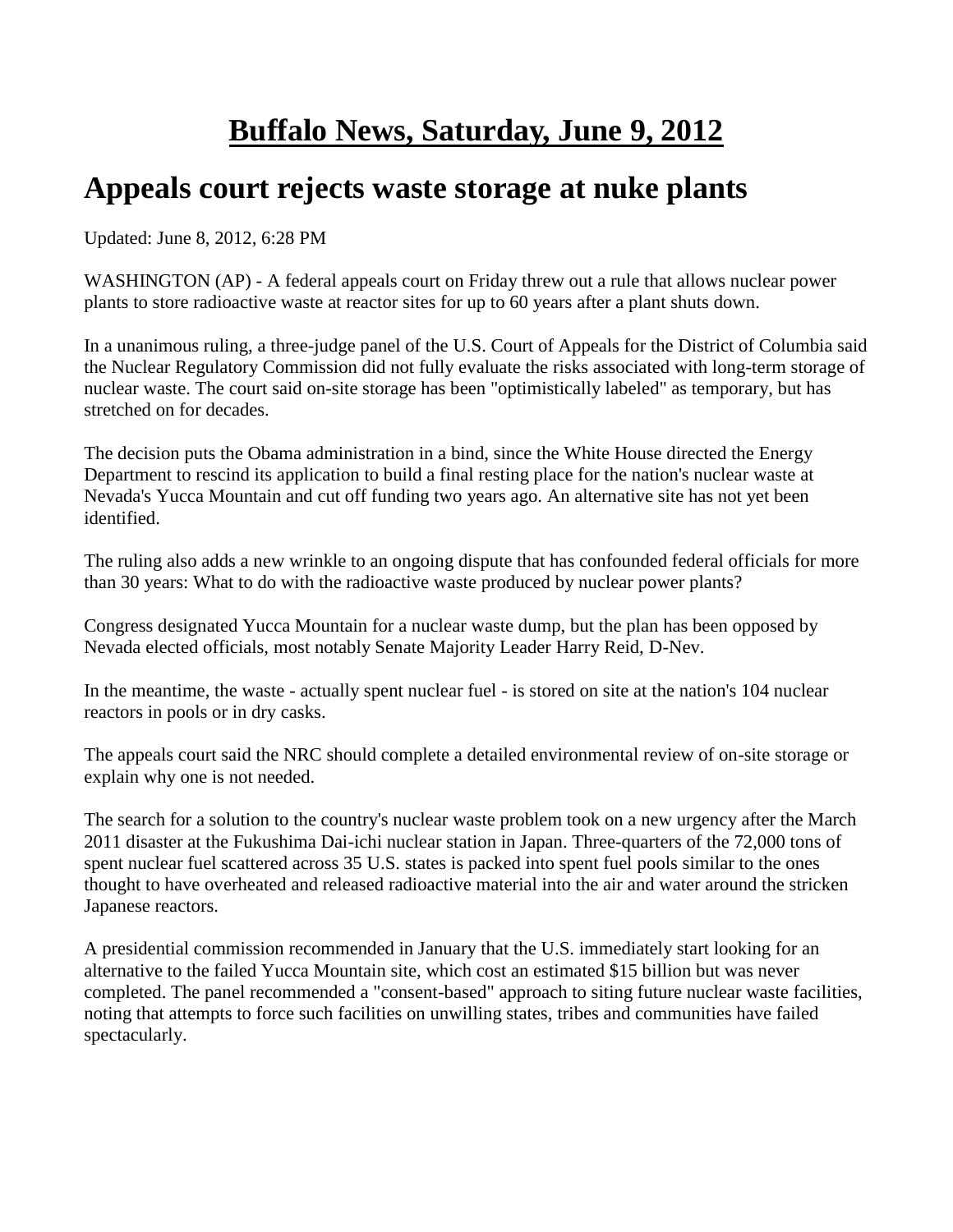# **Buffalo News, Saturday, June 9, 2012**

## **Appeals court rejects waste storage at nuke plants**

Updated: June 8, 2012, 6:28 PM

WASHINGTON (AP) - A federal appeals court on Friday threw out a rule that allows nuclear power plants to store radioactive waste at reactor sites for up to 60 years after a plant shuts down.

In a unanimous ruling, a three-judge panel of the U.S. Court of Appeals for the District of Columbia said the Nuclear Regulatory Commission did not fully evaluate the risks associated with long-term storage of nuclear waste. The court said on-site storage has been "optimistically labeled" as temporary, but has stretched on for decades.

The decision puts the Obama administration in a bind, since the White House directed the Energy Department to rescind its application to build a final resting place for the nation's nuclear waste at Nevada's Yucca Mountain and cut off funding two years ago. An alternative site has not yet been identified.

The ruling also adds a new wrinkle to an ongoing dispute that has confounded federal officials for more than 30 years: What to do with the radioactive waste produced by nuclear power plants?

Congress designated Yucca Mountain for a nuclear waste dump, but the plan has been opposed by Nevada elected officials, most notably Senate Majority Leader Harry Reid, D-Nev.

In the meantime, the waste - actually spent nuclear fuel - is stored on site at the nation's 104 nuclear reactors in pools or in dry casks.

The appeals court said the NRC should complete a detailed environmental review of on-site storage or explain why one is not needed.

The search for a solution to the country's nuclear waste problem took on a new urgency after the March 2011 disaster at the Fukushima Dai-ichi nuclear station in Japan. Three-quarters of the 72,000 tons of spent nuclear fuel scattered across 35 U.S. states is packed into spent fuel pools similar to the ones thought to have overheated and released radioactive material into the air and water around the stricken Japanese reactors.

A presidential commission recommended in January that the U.S. immediately start looking for an alternative to the failed Yucca Mountain site, which cost an estimated \$15 billion but was never completed. The panel recommended a "consent-based" approach to siting future nuclear waste facilities, noting that attempts to force such facilities on unwilling states, tribes and communities have failed spectacularly.